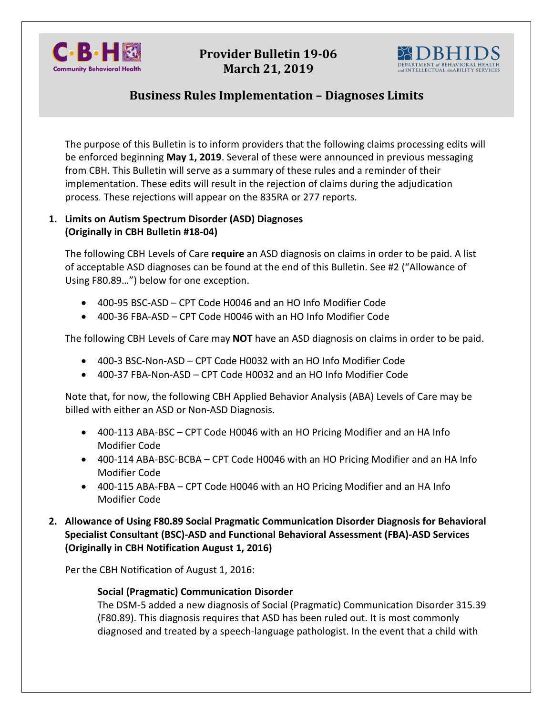

# **Provider Bulletin 19-06 March 21, 2019**



# **Business Rules Implementation – Diagnoses Limits**

The purpose of this Bulletin is to inform providers that the following claims processing edits will be enforced beginning **May 1, 2019**. Several of these were announced in previous messaging from CBH. This Bulletin will serve as a summary of these rules and a reminder of their implementation. These edits will result in the rejection of claims during the adjudication process. These rejections will appear on the 835RA or 277 reports.

#### **1. Limits on Autism Spectrum Disorder (ASD) Diagnoses (Originally in CBH Bulletin #18-04)**

The following CBH Levels of Care **require** an ASD diagnosis on claims in order to be paid. A list of acceptable ASD diagnoses can be found at the end of this Bulletin. See #2 ("Allowance of Using F80.89…") below for one exception.

- 400-95 BSC-ASD CPT Code H0046 and an HO Info Modifier Code
- 400-36 FBA-ASD CPT Code H0046 with an HO Info Modifier Code

The following CBH Levels of Care may **NOT** have an ASD diagnosis on claims in order to be paid.

- 400-3 BSC-Non-ASD CPT Code H0032 with an HO Info Modifier Code
- 400-37 FBA-Non-ASD CPT Code H0032 and an HO Info Modifier Code

Note that, for now, the following CBH Applied Behavior Analysis (ABA) Levels of Care may be billed with either an ASD or Non-ASD Diagnosis.

- 400-113 ABA-BSC CPT Code H0046 with an HO Pricing Modifier and an HA Info Modifier Code
- 400-114 ABA-BSC-BCBA CPT Code H0046 with an HO Pricing Modifier and an HA Info Modifier Code
- 400-115 ABA-FBA CPT Code H0046 with an HO Pricing Modifier and an HA Info Modifier Code
- **2. Allowance of Using F80.89 Social Pragmatic Communication Disorder Diagnosis for Behavioral Specialist Consultant (BSC)-ASD and Functional Behavioral Assessment (FBA)-ASD Services (Originally in CBH Notification August 1, 2016)**

Per the CBH Notification of August 1, 2016:

### **Social (Pragmatic) Communication Disorder**

The DSM-5 added a new diagnosis of Social (Pragmatic) Communication Disorder 315.39 (F80.89). This diagnosis requires that ASD has been ruled out. It is most commonly diagnosed and treated by a speech-language pathologist. In the event that a child with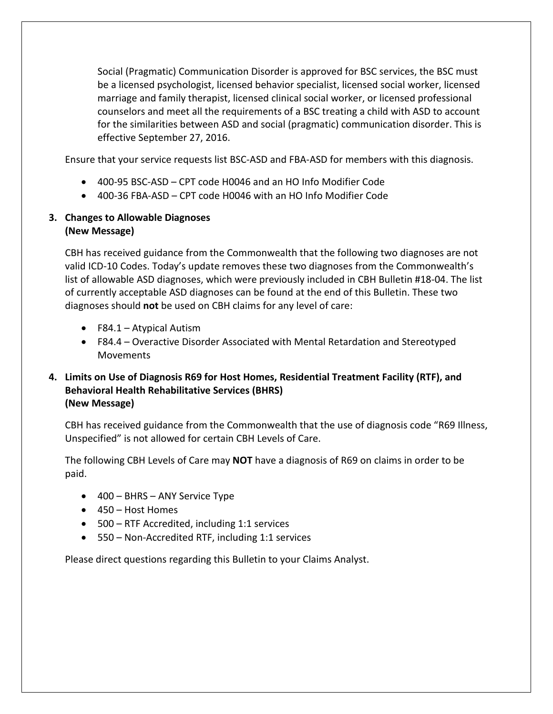Social (Pragmatic) Communication Disorder is approved for BSC services, the BSC must be a licensed psychologist, licensed behavior specialist, licensed social worker, licensed marriage and family therapist, licensed clinical social worker, or licensed professional counselors and meet all the requirements of a BSC treating a child with ASD to account for the similarities between ASD and social (pragmatic) communication disorder. This is effective September 27, 2016.

Ensure that your service requests list BSC-ASD and FBA-ASD for members with this diagnosis.

- 400-95 BSC-ASD CPT code H0046 and an HO Info Modifier Code
- 400-36 FBA-ASD CPT code H0046 with an HO Info Modifier Code

## **3. Changes to Allowable Diagnoses (New Message)**

CBH has received guidance from the Commonwealth that the following two diagnoses are not valid ICD-10 Codes. Today's update removes these two diagnoses from the Commonwealth's list of allowable ASD diagnoses, which were previously included in CBH Bulletin #18-04. The list of currently acceptable ASD diagnoses can be found at the end of this Bulletin. These two diagnoses should **not** be used on CBH claims for any level of care:

- F84.1 Atypical Autism
- F84.4 Overactive Disorder Associated with Mental Retardation and Stereotyped Movements

### **4. Limits on Use of Diagnosis R69 for Host Homes, Residential Treatment Facility (RTF), and Behavioral Health Rehabilitative Services (BHRS) (New Message)**

CBH has received guidance from the Commonwealth that the use of diagnosis code "R69 Illness, Unspecified" is not allowed for certain CBH Levels of Care.

The following CBH Levels of Care may **NOT** have a diagnosis of R69 on claims in order to be paid.

- 400 BHRS ANY Service Type
- 450 Host Homes
- 500 RTF Accredited, including 1:1 services
- 550 Non-Accredited RTF, including 1:1 services

Please direct questions regarding this Bulletin to your Claims Analyst.